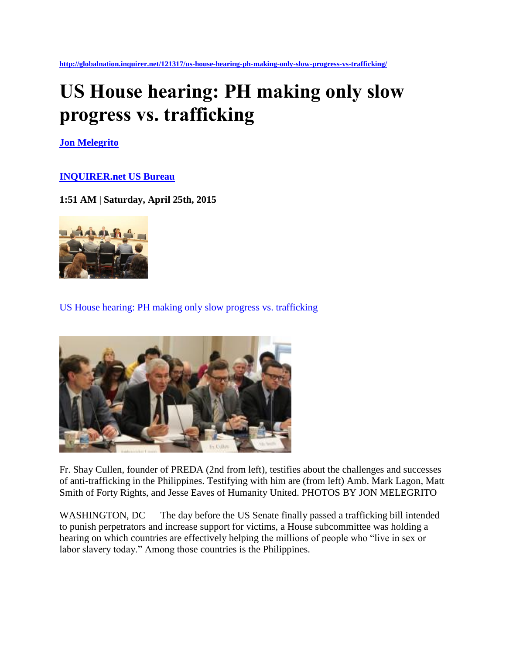**<http://globalnation.inquirer.net/121317/us-house-hearing-ph-making-only-slow-progress-vs-trafficking/>**

## **US House hearing: PH making only slow progress vs. trafficking**

**[Jon Melegrito](http://globalnation.inquirer.net/byline/jon-melegrito)**

## **[INQUIRER.net US Bureau](http://globalnation.inquirer.net/source/inquirer.net-us-bureau)**

**1:51 AM | Saturday, April 25th, 2015**



[US House hearing: PH making only slow progress vs. trafficking](http://globalnation.inquirer.net/121317/us-house-hearing-ph-making-only-slow-progress-vs-trafficking/)



Fr. Shay Cullen, founder of PREDA (2nd from left), testifies about the challenges and successes of anti-trafficking in the Philippines. Testifying with him are (from left) Amb. Mark Lagon, Matt Smith of Forty Rights, and Jesse Eaves of Humanity United. PHOTOS BY JON MELEGRITO

WASHINGTON, DC — The day before the US Senate finally passed a trafficking bill intended to punish perpetrators and increase support for victims, a House subcommittee was holding a hearing on which countries are effectively helping the millions of people who "live in sex or labor slavery today." Among those countries is the Philippines.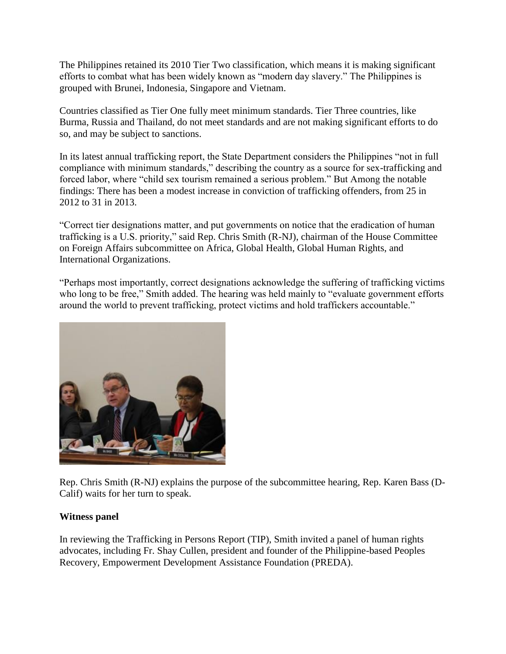The Philippines retained its 2010 Tier Two classification, which means it is making significant efforts to combat what has been widely known as "modern day slavery." The Philippines is grouped with Brunei, Indonesia, Singapore and Vietnam.

Countries classified as Tier One fully meet minimum standards. Tier Three countries, like Burma, Russia and Thailand, do not meet standards and are not making significant efforts to do so, and may be subject to sanctions.

In its latest annual trafficking report, the State Department considers the Philippines "not in full compliance with minimum standards," describing the country as a source for sex-trafficking and forced labor, where "child sex tourism remained a serious problem." But Among the notable findings: There has been a modest increase in conviction of trafficking offenders, from 25 in 2012 to 31 in 2013.

"Correct tier designations matter, and put governments on notice that the eradication of human trafficking is a U.S. priority," said Rep. Chris Smith (R-NJ), chairman of the House Committee on Foreign Affairs subcommittee on Africa, Global Health, Global Human Rights, and International Organizations.

"Perhaps most importantly, correct designations acknowledge the suffering of trafficking victims who long to be free," Smith added. The hearing was held mainly to "evaluate government efforts" around the world to prevent trafficking, protect victims and hold traffickers accountable."



Rep. Chris Smith (R-NJ) explains the purpose of the subcommittee hearing, Rep. Karen Bass (D-Calif) waits for her turn to speak.

## **Witness panel**

In reviewing the Trafficking in Persons Report (TIP), Smith invited a panel of human rights advocates, including Fr. Shay Cullen, president and founder of the Philippine-based Peoples Recovery, Empowerment Development Assistance Foundation (PREDA).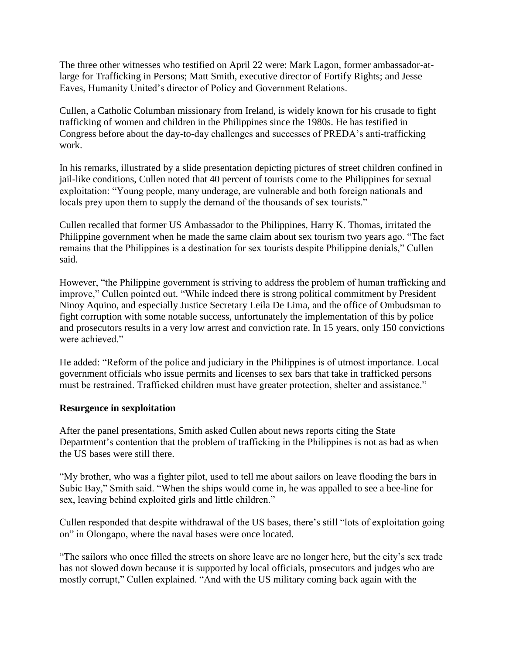The three other witnesses who testified on April 22 were: Mark Lagon, former ambassador-atlarge for Trafficking in Persons; Matt Smith, executive director of Fortify Rights; and Jesse Eaves, Humanity United's director of Policy and Government Relations.

Cullen, a Catholic Columban missionary from Ireland, is widely known for his crusade to fight trafficking of women and children in the Philippines since the 1980s. He has testified in Congress before about the day-to-day challenges and successes of PREDA's anti-trafficking work.

In his remarks, illustrated by a slide presentation depicting pictures of street children confined in jail-like conditions, Cullen noted that 40 percent of tourists come to the Philippines for sexual exploitation: "Young people, many underage, are vulnerable and both foreign nationals and locals prey upon them to supply the demand of the thousands of sex tourists."

Cullen recalled that former US Ambassador to the Philippines, Harry K. Thomas, irritated the Philippine government when he made the same claim about sex tourism two years ago. "The fact remains that the Philippines is a destination for sex tourists despite Philippine denials," Cullen said.

However, "the Philippine government is striving to address the problem of human trafficking and improve," Cullen pointed out. "While indeed there is strong political commitment by President Ninoy Aquino, and especially Justice Secretary Leila De Lima, and the office of Ombudsman to fight corruption with some notable success, unfortunately the implementation of this by police and prosecutors results in a very low arrest and conviction rate. In 15 years, only 150 convictions were achieved."

He added: "Reform of the police and judiciary in the Philippines is of utmost importance. Local government officials who issue permits and licenses to sex bars that take in trafficked persons must be restrained. Trafficked children must have greater protection, shelter and assistance."

## **Resurgence in sexploitation**

After the panel presentations, Smith asked Cullen about news reports citing the State Department's contention that the problem of trafficking in the Philippines is not as bad as when the US bases were still there.

"My brother, who was a fighter pilot, used to tell me about sailors on leave flooding the bars in Subic Bay," Smith said. "When the ships would come in, he was appalled to see a bee-line for sex, leaving behind exploited girls and little children."

Cullen responded that despite withdrawal of the US bases, there's still "lots of exploitation going on" in Olongapo, where the naval bases were once located.

"The sailors who once filled the streets on shore leave are no longer here, but the city's sex trade has not slowed down because it is supported by local officials, prosecutors and judges who are mostly corrupt," Cullen explained. "And with the US military coming back again with the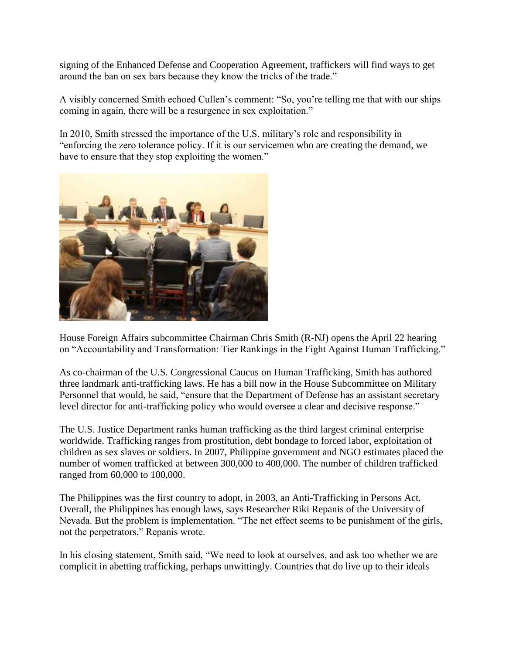signing of the Enhanced Defense and Cooperation Agreement, traffickers will find ways to get around the ban on sex bars because they know the tricks of the trade."

A visibly concerned Smith echoed Cullen's comment: "So, you're telling me that with our ships coming in again, there will be a resurgence in sex exploitation."

In 2010, Smith stressed the importance of the U.S. military's role and responsibility in "enforcing the zero tolerance policy. If it is our servicemen who are creating the demand, we have to ensure that they stop exploiting the women."



House Foreign Affairs subcommittee Chairman Chris Smith (R-NJ) opens the April 22 hearing on "Accountability and Transformation: Tier Rankings in the Fight Against Human Trafficking."

As co-chairman of the U.S. Congressional Caucus on Human Trafficking, Smith has authored three landmark anti-trafficking laws. He has a bill now in the House Subcommittee on Military Personnel that would, he said, "ensure that the Department of Defense has an assistant secretary level director for anti-trafficking policy who would oversee a clear and decisive response."

The U.S. Justice Department ranks human trafficking as the third largest criminal enterprise worldwide. Trafficking ranges from prostitution, debt bondage to forced labor, exploitation of children as sex slaves or soldiers. In 2007, Philippine government and NGO estimates placed the number of women trafficked at between 300,000 to 400,000. The number of children trafficked ranged from 60,000 to 100,000.

The Philippines was the first country to adopt, in 2003, an Anti-Trafficking in Persons Act. Overall, the Philippines has enough laws, says Researcher Riki Repanis of the University of Nevada. But the problem is implementation. "The net effect seems to be punishment of the girls, not the perpetrators," Repanis wrote.

In his closing statement, Smith said, "We need to look at ourselves, and ask too whether we are complicit in abetting trafficking, perhaps unwittingly. Countries that do live up to their ideals